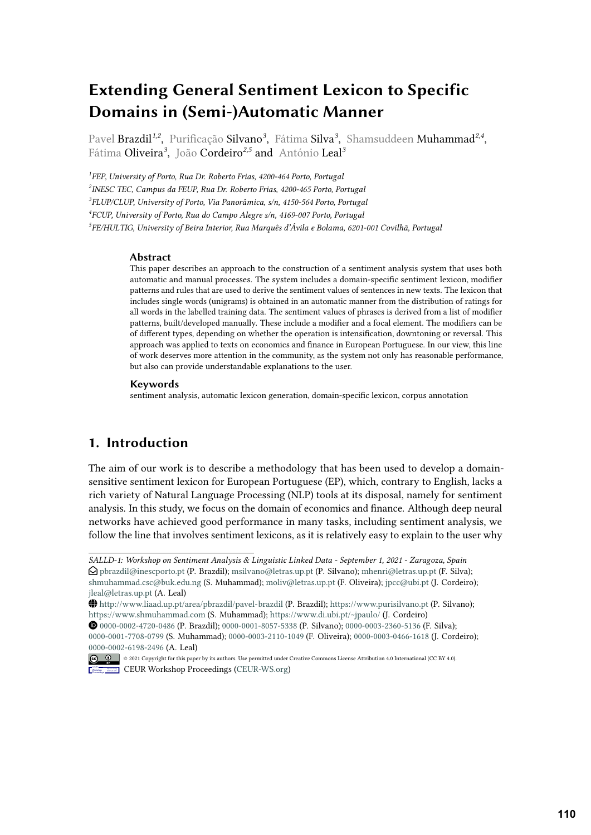# **Extending General Sentiment Lexicon to Specific Domains in (Semi-)Automatic Manner**

Pavel Brazdil*1,2* , Purificação Silvano*<sup>3</sup>* , Fátima Silva*<sup>3</sup>* , Shamsuddeen Muhammad*2,4* , Fátima Oliveira*<sup>3</sup>* , João Cordeiro*2,5* and António Leal*<sup>3</sup>*

 *FEP, University of Porto, Rua Dr. Roberto Frias, 4200-464 Porto, Portugal INESC TEC, Campus da FEUP, Rua Dr. Roberto Frias, 4200-465 Porto, Portugal FLUP/CLUP, University of Porto, Via Panorâmica, s/n, 4150-564 Porto, Portugal FCUP, University of Porto, Rua do Campo Alegre s/n, 4169-007 Porto, Portugal FE/HULTIG, University of Beira Interior, Rua Marquês d'Ávila e Bolama, 6201-001 Covilhã, Portugal*

#### **Abstract**

This paper describes an approach to the construction of a sentiment analysis system that uses both automatic and manual processes. The system includes a domain-specific sentiment lexicon, modifier patterns and rules that are used to derive the sentiment values of sentences in new texts. The lexicon that includes single words (unigrams) is obtained in an automatic manner from the distribution of ratings for all words in the labelled training data. The sentiment values of phrases is derived from a list of modifier patterns, built/developed manually. These include a modifier and a focal element. The modifiers can be of different types, depending on whether the operation is intensification, downtoning or reversal. This approach was applied to texts on economics and finance in European Portuguese. In our view, this line of work deserves more attention in the community, as the system not only has reasonable performance, but also can provide understandable explanations to the user.

#### **Keywords**

sentiment analysis, automatic lexicon generation, domain-specific lexicon, corpus annotation

# **1. Introduction**

The aim of our work is to describe a methodology that has been used to develop a domainsensitive sentiment lexicon for European Portuguese (EP), which, contrary to English, lacks a rich variety of Natural Language Processing (NLP) tools at its disposal, namely for sentiment analysis. In this study, we focus on the domain of economics and finance. Although deep neural networks have achieved good performance in many tasks, including sentiment analysis, we follow the line that involves sentiment lexicons, as it is relatively easy to explain to the user why

*SALLD-1: Workshop on Sentiment Analysis & Linguistic Linked Data - September 1, 2021 - Zaragoza, Spain*  $\bigcirc$  [pbrazdil@inescporto.pt](mailto:pbrazdil@inescporto.pt) (P. Brazdil); [msilvano@letras.up.pt](mailto:msilvano@letras.up.pt) (P. Silvano); [mhenri@letras.up.pt](mailto:mhenri@letras.up.pt) (F. Silva); [shmuhammad.csc@buk.edu.ng](mailto:shmuhammad.csc@buk.edu.ng) (S. Muhammad); [moliv@letras.up.pt](mailto:moliv@letras.up.pt) (F. Oliveira); [jpcc@ubi.pt](mailto:jpcc@ubi.pt) (J. Cordeiro); [jleal@letras.up.pt](mailto:jleal@letras.up.pt) (A. Leal)

<http://www.liaad.up.pt/area/pbrazdil/pavel-brazdil> (P. Brazdil); <https://www.purisilvano.pt> (P. Silvano); <https://www.shmuhammad.com> (S. Muhammad); <https://www.di.ubi.pt/~jpaulo/> (J. Cordeiro)

[0000-0002-4720-0486](https://orcid.org/0000-0002-4720-0486) (P. Brazdil); [0000-0001-8057-5338](https://orcid.org/0000-0001-8057-5338) (P. Silvano); [0000-0003-2360-5136](https://orcid.org/0000-0003-2360-5136) (F. Silva); [0000-0001-7708-0799](https://orcid.org/0000-0001-7708-0799) (S. Muhammad); [0000-0003-2110-1049](https://orcid.org/0000-0003-2110-1049) (F. Oliveira); [0000-0003-0466-1618](https://orcid.org/0000-0003-0466-1618) (J. Cordeiro); [0000-0002-6198-2496](https://orcid.org/0000-0002-6198-2496) (A. Leal)

<sup>©</sup> 2021 Copyright for this paper by its authors. Use permitted under Creative Commons License Attribution 4.0 International (CC BY 4.0). **CEUR Workshop [Proceedings](http://ceur-ws.org) [\(CEUR-WS.org\)](http://ceur-ws.org)**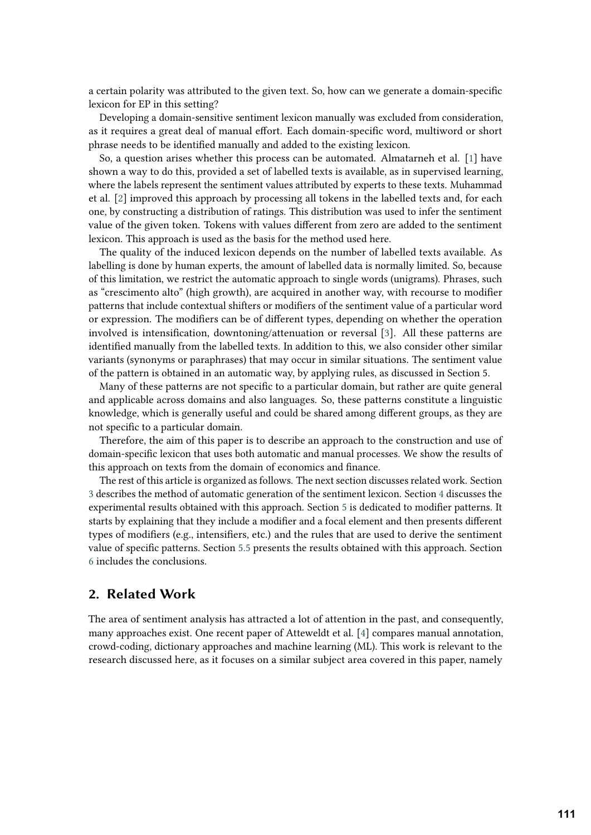a certain polarity was attributed to the given text. So, how can we generate a domain-specific lexicon for EP in this setting?

Developing a domain-sensitive sentiment lexicon manually was excluded from consideration, as it requires a great deal of manual effort. Each domain-specific word, multiword or short phrase needs to be identified manually and added to the existing lexicon.

So, a question arises whether this process can be automated. Almatarneh et al. [\[1\]](#page-14-0) have shown a way to do this, provided a set of labelled texts is available, as in supervised learning, where the labels represent the sentiment values attributed by experts to these texts. Muhammad et al. [\[2\]](#page-14-1) improved this approach by processing all tokens in the labelled texts and, for each one, by constructing a distribution of ratings. This distribution was used to infer the sentiment value of the given token. Tokens with values different from zero are added to the sentiment lexicon. This approach is used as the basis for the method used here.

The quality of the induced lexicon depends on the number of labelled texts available. As labelling is done by human experts, the amount of labelled data is normally limited. So, because of this limitation, we restrict the automatic approach to single words (unigrams). Phrases, such as "crescimento alto" (high growth), are acquired in another way, with recourse to modifier patterns that include contextual shifters or modifiers of the sentiment value of a particular word or expression. The modifiers can be of different types, depending on whether the operation involved is intensification, downtoning/attenuation or reversal [\[3\]](#page-14-2). All these patterns are identified manually from the labelled texts. In addition to this, we also consider other similar variants (synonyms or paraphrases) that may occur in similar situations. The sentiment value of the pattern is obtained in an automatic way, by applying rules, as discussed in Section 5.

Many of these patterns are not specific to a particular domain, but rather are quite general and applicable across domains and also languages. So, these patterns constitute a linguistic knowledge, which is generally useful and could be shared among different groups, as they are not specific to a particular domain.

Therefore, the aim of this paper is to describe an approach to the construction and use of domain-specific lexicon that uses both automatic and manual processes. We show the results of this approach on texts from the domain of economics and finance.

The rest of this article is organized as follows. The next section discusses related work. Section [3](#page-3-0) describes the method of automatic generation of the sentiment lexicon. Section [4](#page-7-0) discusses the experimental results obtained with this approach. Section [5](#page-8-0) is dedicated to modifier patterns. It starts by explaining that they include a modifier and a focal element and then presents different types of modifiers (e.g., intensifiers, etc.) and the rules that are used to derive the sentiment value of specific patterns. Section [5.5](#page-12-0) presents the results obtained with this approach. Section [6](#page-13-0) includes the conclusions.

# **2. Related Work**

The area of sentiment analysis has attracted a lot of attention in the past, and consequently, many approaches exist. One recent paper of Atteweldt et al. [\[4\]](#page-14-3) compares manual annotation, crowd-coding, dictionary approaches and machine learning (ML). This work is relevant to the research discussed here, as it focuses on a similar subject area covered in this paper, namely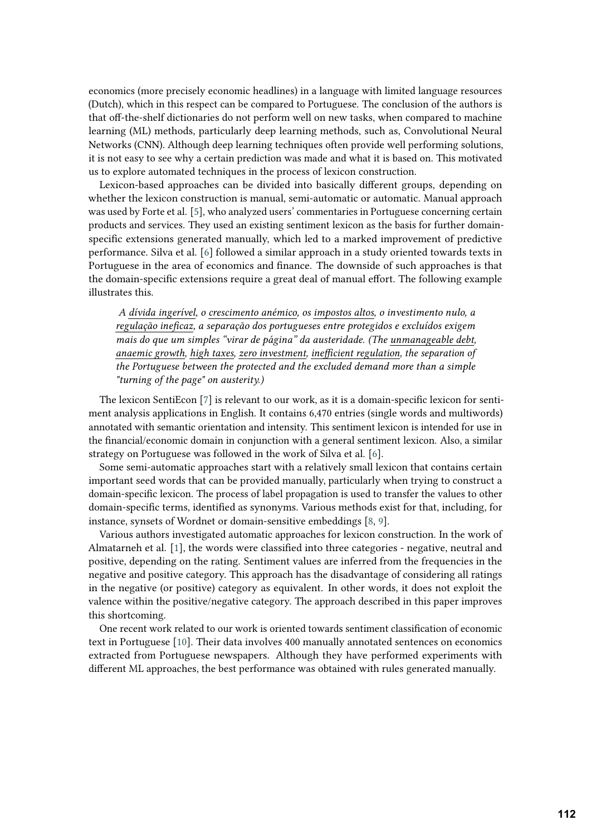economics (more precisely economic headlines) in a language with limited language resources (Dutch), which in this respect can be compared to Portuguese. The conclusion of the authors is that off-the-shelf dictionaries do not perform well on new tasks, when compared to machine learning (ML) methods, particularly deep learning methods, such as, Convolutional Neural Networks (CNN). Although deep learning techniques often provide well performing solutions, it is not easy to see why a certain prediction was made and what it is based on. This motivated us to explore automated techniques in the process of lexicon construction.

Lexicon-based approaches can be divided into basically different groups, depending on whether the lexicon construction is manual, semi-automatic or automatic. Manual approach was used by Forte et al. [\[5\]](#page-14-4), who analyzed users' commentaries in Portuguese concerning certain products and services. They used an existing sentiment lexicon as the basis for further domainspecific extensions generated manually, which led to a marked improvement of predictive performance. Silva et al. [\[6\]](#page-14-5) followed a similar approach in a study oriented towards texts in Portuguese in the area of economics and finance. The downside of such approaches is that the domain-specific extensions require a great deal of manual effort. The following example illustrates this.

*A dívida ingerível, o crescimento anémico, os impostos altos, o investimento nulo, a regulação ineficaz, a separação dos portugueses entre protegidos e excluídos exigem mais do que um simples "virar de página" da austeridade. (The unmanageable debt, anaemic growth, high taxes, zero investment, inefficient regulation, the separation of the Portuguese between the protected and the excluded demand more than a simple "turning of the page" on austerity.)*

The lexicon SentiEcon [\[7\]](#page-15-0) is relevant to our work, as it is a domain-specific lexicon for sentiment analysis applications in English. It contains 6,470 entries (single words and multiwords) annotated with semantic orientation and intensity. This sentiment lexicon is intended for use in the financial/economic domain in conjunction with a general sentiment lexicon. Also, a similar strategy on Portuguese was followed in the work of Silva et al. [\[6\]](#page-14-5).

Some semi-automatic approaches start with a relatively small lexicon that contains certain important seed words that can be provided manually, particularly when trying to construct a domain-specific lexicon. The process of label propagation is used to transfer the values to other domain-specific terms, identified as synonyms. Various methods exist for that, including, for instance, synsets of Wordnet or domain-sensitive embeddings [\[8,](#page-15-1) [9\]](#page-15-2).

Various authors investigated automatic approaches for lexicon construction. In the work of Almatarneh et al. [\[1\]](#page-14-0), the words were classified into three categories - negative, neutral and positive, depending on the rating. Sentiment values are inferred from the frequencies in the negative and positive category. This approach has the disadvantage of considering all ratings in the negative (or positive) category as equivalent. In other words, it does not exploit the valence within the positive/negative category. The approach described in this paper improves this shortcoming.

One recent work related to our work is oriented towards sentiment classification of economic text in Portuguese [\[10\]](#page-15-3). Their data involves 400 manually annotated sentences on economics extracted from Portuguese newspapers. Although they have performed experiments with different ML approaches, the best performance was obtained with rules generated manually.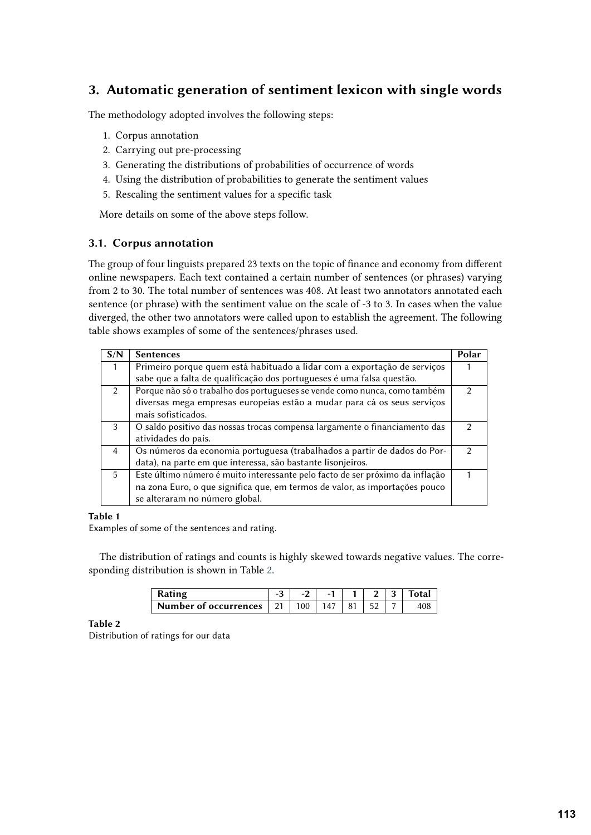# <span id="page-3-0"></span>**3. Automatic generation of sentiment lexicon with single words**

The methodology adopted involves the following steps:

- 1. Corpus annotation
- 2. Carrying out pre-processing
- 3. Generating the distributions of probabilities of occurrence of words
- 4. Using the distribution of probabilities to generate the sentiment values
- 5. Rescaling the sentiment values for a specific task

More details on some of the above steps follow.

# <span id="page-3-2"></span>**3.1. Corpus annotation**

The group of four linguists prepared 23 texts on the topic of finance and economy from different online newspapers. Each text contained a certain number of sentences (or phrases) varying from 2 to 30. The total number of sentences was 408. At least two annotators annotated each sentence (or phrase) with the sentiment value on the scale of -3 to 3. In cases when the value diverged, the other two annotators were called upon to establish the agreement. The following table shows examples of some of the sentences/phrases used.

| S/N            | <b>Sentences</b>                                                              | Polar |
|----------------|-------------------------------------------------------------------------------|-------|
| 1              | Primeiro porque quem está habituado a lidar com a exportação de serviços      |       |
|                | sabe que a falta de qualificação dos portugueses é uma falsa questão.         |       |
| $\mathcal{L}$  | Porque não só o trabalho dos portugueses se vende como nunca, como também     | 2     |
|                | diversas mega empresas europeias estão a mudar para cá os seus serviços       |       |
|                | mais sofisticados.                                                            |       |
| 3              | O saldo positivo das nossas trocas compensa largamente o financiamento das    |       |
|                | atividades do país.                                                           |       |
| $\overline{4}$ | Os números da economia portuguesa (trabalhados a partir de dados do Por-      | 2     |
|                | data), na parte em que interessa, são bastante lisonjeiros.                   |       |
| 5              | Este último número é muito interessante pelo facto de ser próximo da inflação |       |
|                | na zona Euro, o que significa que, em termos de valor, as importações pouco   |       |
|                | se alteraram no número global.                                                |       |

### **Table 1**

Examples of some of the sentences and rating.

The distribution of ratings and counts is highly skewed towards negative values. The corresponding distribution is shown in Table [2.](#page-3-1)

<span id="page-3-1"></span>

| Rating                                 |     |     |  | Total |
|----------------------------------------|-----|-----|--|-------|
| Number of occurrences $\mid$ 21 $\mid$ | 100 | 147 |  |       |

### **Table 2**

Distribution of ratings for our data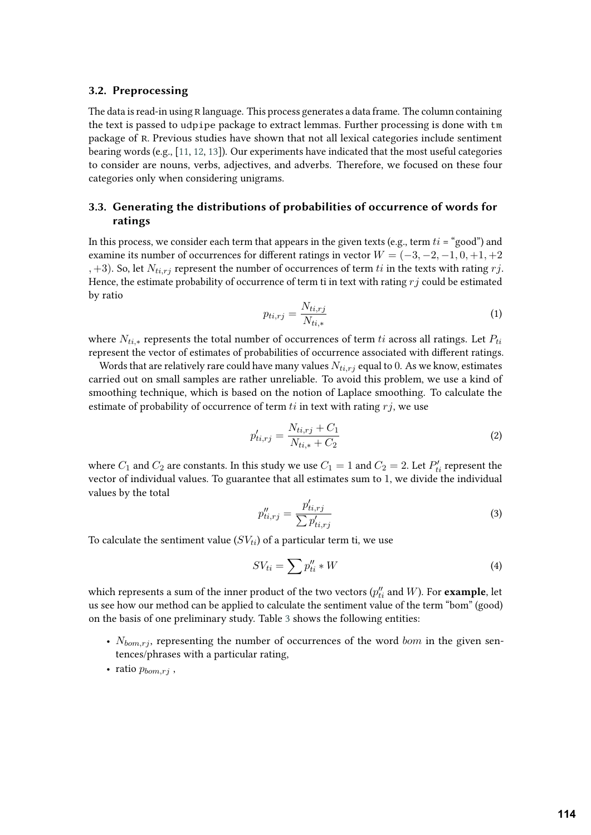#### **3.2. Preprocessing**

The data is read-in using R language. This process generates a data frame. The column containing the text is passed to udpipe package to extract lemmas. Further processing is done with tm package of R. Previous studies have shown that not all lexical categories include sentiment bearing words (e.g., [\[11,](#page-15-4) [12,](#page-15-5) [13\]](#page-15-6)). Our experiments have indicated that the most useful categories to consider are nouns, verbs, adjectives, and adverbs. Therefore, we focused on these four categories only when considering unigrams.

# **3.3. Generating the distributions of probabilities of occurrence of words for ratings**

In this process, we consider each term that appears in the given texts (e.g., term  $t_i = "good"$ ) and examine its number of occurrences for different ratings in vector  $W = (-3, -2, -1, 0, +1, +2)$ , +3). So, let  $N_{ti, rj}$  represent the number of occurrences of term  $ti$  in the texts with rating  $rj$ . Hence, the estimate probability of occurrence of term ti in text with rating  $r_j$  could be estimated by ratio

$$
p_{ti, rj} = \frac{N_{ti, rj}}{N_{ti,*}}\tag{1}
$$

where  $N_{ti,*}$  represents the total number of occurrences of term  $ti$  across all ratings. Let  $P_{ti}$ represent the vector of estimates of probabilities of occurrence associated with different ratings.

Words that are relatively rare could have many values  $N_{t,i,r,i}$  equal to 0. As we know, estimates carried out on small samples are rather unreliable. To avoid this problem, we use a kind of smoothing technique, which is based on the notion of Laplace smoothing. To calculate the estimate of probability of occurrence of term  $ti$  in text with rating  $rj$ , we use

$$
p'_{ti, rj} = \frac{N_{ti, rj} + C_1}{N_{ti, *} + C_2}
$$
\n(2)

where  $C_1$  and  $C_2$  are constants. In this study we use  $C_1 = 1$  and  $C_2 = 2$ . Let  $P'_{ti}$  represent the vector of individual values. To guarantee that all estimates sum to 1, we divide the individual values by the total

$$
p_{ti, rj}^{\prime\prime} = \frac{p_{ti, rj}^{\prime}}{\sum p_{ti, rj}^{\prime}}
$$
\n
$$
\tag{3}
$$

To calculate the sentiment value  $(SV_{ti})$  of a particular term ti, we use

$$
SV_{ti} = \sum p_{ti}^{\prime\prime} * W \tag{4}
$$

which represents a sum of the inner product of the two vectors  $(p''_{ti}$  and  $W$ ). For  $\boldsymbol{\textbf{example}}$ , let us see how our method can be applied to calculate the sentiment value of the term "bom" (good) on the basis of one preliminary study. Table [3](#page-5-0) shows the following entities:

- $N_{bom, rj}$ , representing the number of occurrences of the word  $bom$  in the given sentences/phrases with a particular rating,
- ratio  $p_{bom,r_i}$ ,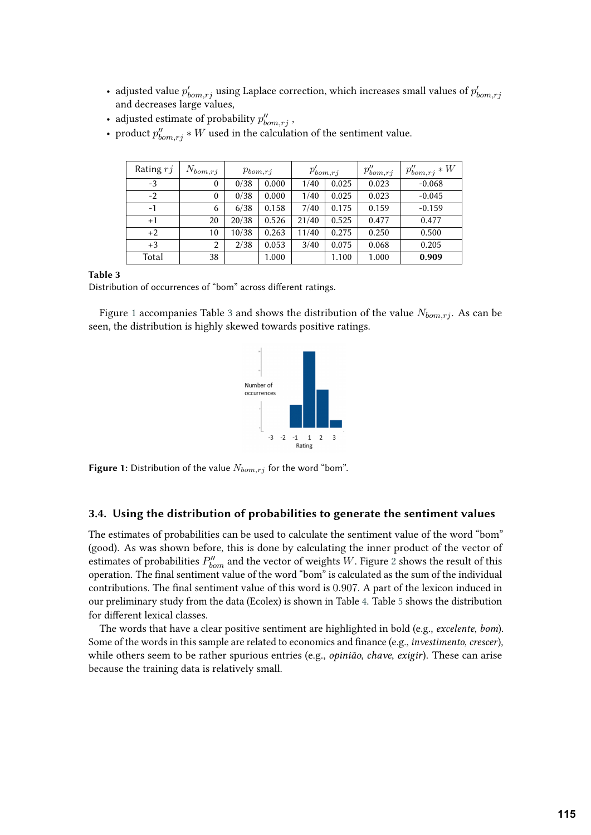- adjusted value  $p'_{bom,rj}$  using Laplace correction, which increases small values of  $p'_{bom,rj}$ and decreases large values,
- adjusted estimate of probability  $p''_{bom,rj}$ ,
- product  $p''_{bom,rj} * W$  used in the calculation of the sentiment value.

| Rating $rj$ | $N_{bom,rj}$ | $p_{bom,rj}$ |       | $p'_{bom,rj}$ |       | $p''_{bom,rj}$ | $p''_{bom,rj} * W$ |
|-------------|--------------|--------------|-------|---------------|-------|----------------|--------------------|
| $-3$        | $\mathbf{0}$ | 0/38         | 0.000 | 1/40          | 0.025 | 0.023          | $-0.068$           |
| $-2$        | $\mathbf{0}$ | 0/38         | 0.000 | 1/40          | 0.025 | 0.023          | $-0.045$           |
| $-1$        | 6            | 6/38         | 0.158 | 7/40          | 0.175 | 0.159          | $-0.159$           |
| $+1$        | 20           | 20/38        | 0.526 | 21/40         | 0.525 | 0.477          | 0.477              |
| $+2$        | 10           | 10/38        | 0.263 | 11/40         | 0.275 | 0.250          | 0.500              |
| $+3$        | 2            | 2/38         | 0.053 | 3/40          | 0.075 | 0.068          | 0.205              |
| Total       | 38           |              | 1.000 |               | 1.100 | 1.000          | 0.909              |

#### **Table 3**

Distribution of occurrences of "bom" across different ratings.

Figure [1](#page-5-1) accompanies Table [3](#page-5-0) and shows the distribution of the value  $N_{bom,r_i}$ . As can be seen, the distribution is highly skewed towards positive ratings.

<span id="page-5-1"></span><span id="page-5-0"></span>

**Figure 1:** Distribution of the value  $N_{bom, r_i}$  for the word "bom".

#### **3.4. Using the distribution of probabilities to generate the sentiment values**

The estimates of probabilities can be used to calculate the sentiment value of the word "bom" (good). As was shown before, this is done by calculating the inner product of the vector of estimates of probabilities  $P''_{\mathit{born}}$  and the vector of weights  $W.$  Figure [2](#page-6-0) shows the result of this operation. The final sentiment value of the word "bom" is calculated as the sum of the individual contributions. The final sentiment value of this word is 0.907. A part of the lexicon induced in our preliminary study from the data (Ecolex) is shown in Table [4.](#page-6-1) Table [5](#page-6-2) shows the distribution for different lexical classes.

The words that have a clear positive sentiment are highlighted in bold (e.g., *excelente*, *bom*). Some of the words in this sample are related to economics and finance (e.g., *investimento*, *crescer*), while others seem to be rather spurious entries (e.g., *opinião*, *chave*, *exigir*). These can arise because the training data is relatively small.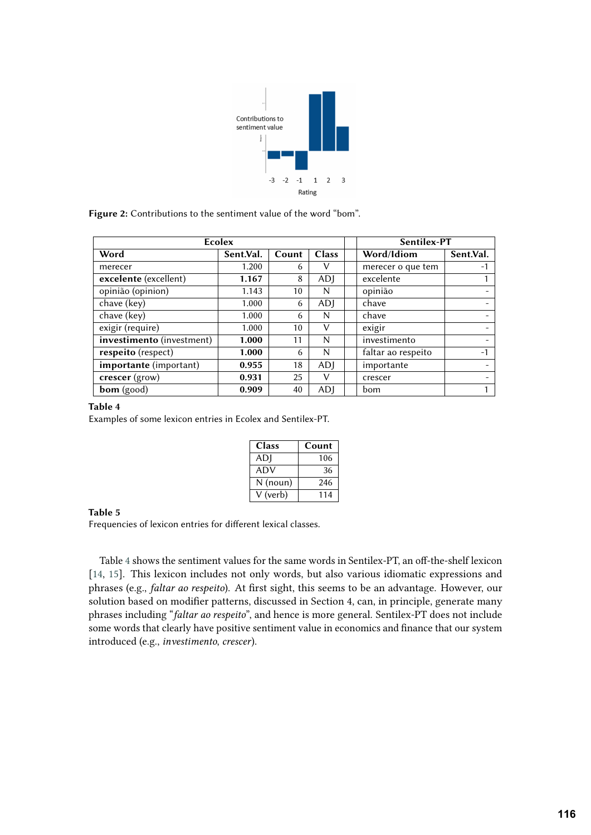<span id="page-6-0"></span>

**Figure 2:** Contributions to the sentiment value of the word "bom".

| Ecolex                                 | Sentilex-PT |       |              |                    |           |
|----------------------------------------|-------------|-------|--------------|--------------------|-----------|
| Word                                   | Sent.Val.   | Count | <b>Class</b> | Word/Idiom         | Sent.Val. |
| merecer                                | 1.200       | 6     | v            | merecer o que tem  | $-1$      |
| excelente (excellent)                  | 1.167       | 8     | ADI          | excelente          |           |
| opinião (opinion)                      | 1.143       | 10    | N            | opinião            |           |
| chave (key)                            | 1.000       | 6     | ADI          | chave              |           |
| chave (key)                            | 1.000       | 6     | N            | chave              |           |
| exigir (require)                       | 1.000       | 10    | v            | exigir             |           |
| investimento (investment)              | 1.000       | 11    | N            | investimento       |           |
| respeito (respect)                     | 1.000       | 6     | N            | faltar ao respeito | $-1$      |
| <i>importante</i> ( <i>important</i> ) | 0.955       | 18    | ADI          | importante         |           |
| crescer (grow)                         | 0.931       | 25    | ν            | crescer            |           |
| <b>bom</b> (good)                      | 0.909       | 40    | ADI          | bom                |           |

#### **Table 4**

Examples of some lexicon entries in Ecolex and Sentilex-PT.

<span id="page-6-2"></span><span id="page-6-1"></span>

| <b>Class</b>    | Count |
|-----------------|-------|
| AD <sub>I</sub> | 106   |
| ADV             | 36    |
| N (noun)        | 246   |
| V (verb)        | 114   |

**Table 5**

Frequencies of lexicon entries for different lexical classes.

Table [4](#page-6-1) shows the sentiment values for the same words in Sentilex-PT, an off-the-shelf lexicon [\[14,](#page-15-7) [15\]](#page-15-8). This lexicon includes not only words, but also various idiomatic expressions and phrases (e.g., *faltar ao respeito*). At first sight, this seems to be an advantage. However, our solution based on modifier patterns, discussed in Section 4, can, in principle, generate many phrases including "*faltar ao respeito*", and hence is more general. Sentilex-PT does not include some words that clearly have positive sentiment value in economics and finance that our system introduced (e.g., *investimento*, *crescer*).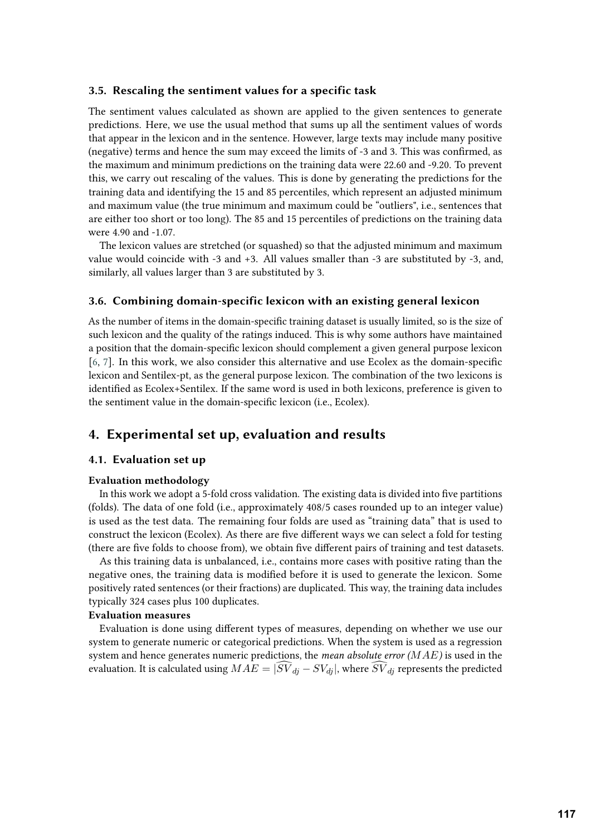#### **3.5. Rescaling the sentiment values for a specific task**

The sentiment values calculated as shown are applied to the given sentences to generate predictions. Here, we use the usual method that sums up all the sentiment values of words that appear in the lexicon and in the sentence. However, large texts may include many positive (negative) terms and hence the sum may exceed the limits of -3 and 3. This was confirmed, as the maximum and minimum predictions on the training data were 22.60 and -9.20. To prevent this, we carry out rescaling of the values. This is done by generating the predictions for the training data and identifying the 15 and 85 percentiles, which represent an adjusted minimum and maximum value (the true minimum and maximum could be "outliers", i.e., sentences that are either too short or too long). The 85 and 15 percentiles of predictions on the training data were 4.90 and -1.07.

The lexicon values are stretched (or squashed) so that the adjusted minimum and maximum value would coincide with -3 and +3. All values smaller than -3 are substituted by -3, and, similarly, all values larger than 3 are substituted by 3.

#### **3.6. Combining domain-specific lexicon with an existing general lexicon**

As the number of items in the domain-specific training dataset is usually limited, so is the size of such lexicon and the quality of the ratings induced. This is why some authors have maintained a position that the domain-specific lexicon should complement a given general purpose lexicon [\[6,](#page-14-5) [7\]](#page-15-0). In this work, we also consider this alternative and use Ecolex as the domain-specific lexicon and Sentilex-pt, as the general purpose lexicon. The combination of the two lexicons is identified as Ecolex+Sentilex. If the same word is used in both lexicons, preference is given to the sentiment value in the domain-specific lexicon (i.e., Ecolex).

# <span id="page-7-0"></span>**4. Experimental set up, evaluation and results**

### **4.1. Evaluation set up**

#### **Evaluation methodology**

In this work we adopt a 5-fold cross validation. The existing data is divided into five partitions (folds). The data of one fold (i.e., approximately 408/5 cases rounded up to an integer value) is used as the test data. The remaining four folds are used as "training data" that is used to construct the lexicon (Ecolex). As there are five different ways we can select a fold for testing (there are five folds to choose from), we obtain five different pairs of training and test datasets.

As this training data is unbalanced, i.e., contains more cases with positive rating than the negative ones, the training data is modified before it is used to generate the lexicon. Some positively rated sentences (or their fractions) are duplicated. This way, the training data includes typically 324 cases plus 100 duplicates.

#### **Evaluation measures**

Evaluation is done using different types of measures, depending on whether we use our system to generate numeric or categorical predictions. When the system is used as a regression system and hence generates numeric predictions, the *mean absolute error* ( $MAE$ ) is used in the evaluation. It is calculated using  $MAE = |\widehat{SV}_{di} - SV_{di}|$ , where  $\widehat{SV}_{di}$  represents the predicted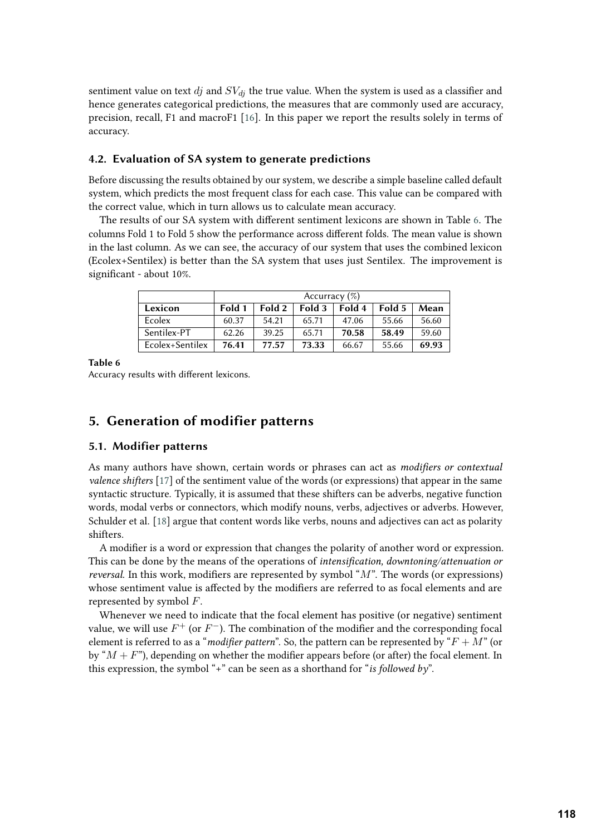sentiment value on text  $dj$  and  $SV_{di}$  the true value. When the system is used as a classifier and hence generates categorical predictions, the measures that are commonly used are accuracy, precision, recall, F1 and macroF1 [\[16\]](#page-15-9). In this paper we report the results solely in terms of accuracy.

# **4.2. Evaluation of SA system to generate predictions**

Before discussing the results obtained by our system, we describe a simple baseline called default system, which predicts the most frequent class for each case. This value can be compared with the correct value, which in turn allows us to calculate mean accuracy.

The results of our SA system with different sentiment lexicons are shown in Table [6.](#page-8-1) The columns Fold 1 to Fold 5 show the performance across different folds. The mean value is shown in the last column. As we can see, the accuracy of our system that uses the combined lexicon (Ecolex+Sentilex) is better than the SA system that uses just Sentilex. The improvement is significant - about 10%.

<span id="page-8-1"></span>

|                 | Accurracy $(\%)$ |        |        |        |        |       |
|-----------------|------------------|--------|--------|--------|--------|-------|
| Lexicon         | Fold 1           | Fold 2 | Fold 3 | Fold 4 | Fold 5 | Mean  |
| Ecolex          | 60.37            | 54.21  | 65.71  | 47.06  | 55.66  | 56.60 |
| Sentilex-PT     | 62.26            | 39.25  | 65.71  | 70.58  | 58.49  | 59.60 |
| Ecolex+Sentilex | 76.41            | 77.57  | 73.33  | 66.67  | 55.66  | 69.93 |

**Table 6**

Accuracy results with different lexicons.

# <span id="page-8-0"></span>**5. Generation of modifier patterns**

#### **5.1. Modifier patterns**

As many authors have shown, certain words or phrases can act as *modifiers or contextual valence shifters* [\[17\]](#page-15-10) of the sentiment value of the words (or expressions) that appear in the same syntactic structure. Typically, it is assumed that these shifters can be adverbs, negative function words, modal verbs or connectors, which modify nouns, verbs, adjectives or adverbs. However, Schulder et al. [\[18\]](#page-15-11) argue that content words like verbs, nouns and adjectives can act as polarity shifters.

A modifier is a word or expression that changes the polarity of another word or expression. This can be done by the means of the operations of *intensification, downtoning/attenuation or reversal*. In this work, modifiers are represented by symbol " $M$ ". The words (or expressions) whose sentiment value is affected by the modifiers are referred to as focal elements and are represented by symbol  $F$ .

Whenever we need to indicate that the focal element has positive (or negative) sentiment value, we will use  $F^+$  (or  $F^-$ ). The combination of the modifier and the corresponding focal element is referred to as a "*modifier pattern*". So, the pattern can be represented by " $F + M$ " (or by " $M + F$ "), depending on whether the modifier appears before (or after) the focal element. In this expression, the symbol "+" can be seen as a shorthand for "*is followed by*".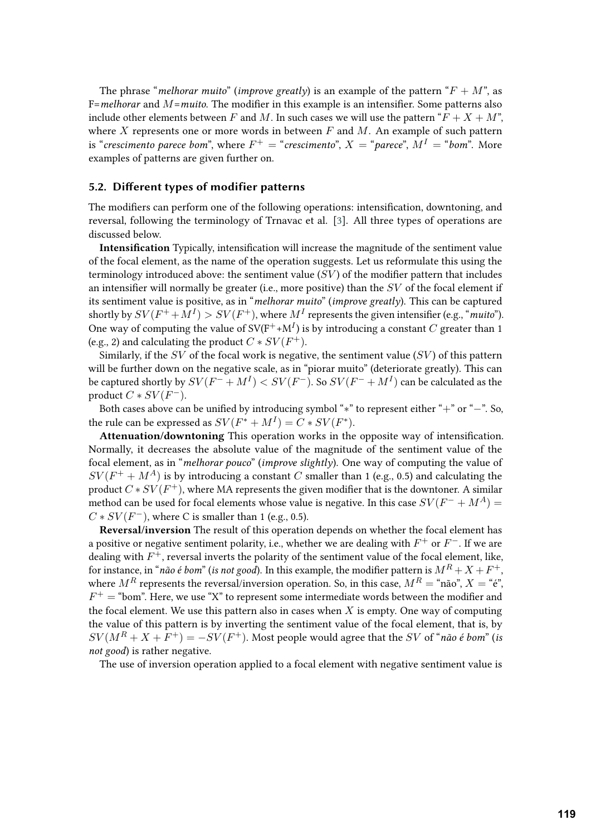The phrase "*melhorar muito*" (*improve greatly*) is an example of the pattern " $F + M$ ", as F=*melhorar* and *M*=*muito*. The modifier in this example is an intensifier. Some patterns also include other elements between F and M. In such cases we will use the pattern " $F + X + M$ ", where X represents one or more words in between  $F$  and  $M$ . An example of such pattern is "crescimento parece bom", where  $F^+ =$  "crescimento",  $X =$  "parece",  $M^I =$  "bom". More examples of patterns are given further on.

#### **5.2. Different types of modifier patterns**

The modifiers can perform one of the following operations: intensification, downtoning, and reversal, following the terminology of Trnavac et al. [\[3\]](#page-14-2). All three types of operations are discussed below.

**Intensification** Typically, intensification will increase the magnitude of the sentiment value of the focal element, as the name of the operation suggests. Let us reformulate this using the terminology introduced above: the sentiment value  $(SV)$  of the modifier pattern that includes an intensifier will normally be greater (i.e., more positive) than the  $SV$  of the focal element if its sentiment value is positive, as in "*melhorar muito*" (*improve greatly*). This can be captured shortly by  ${SV}(F^+ + M^I) > {SV}(F^+),$  where  $M^I$  represents the given intensifier (e.g., "*muito*"). One way of computing the value of  $SV(F^+ + M^I)$  is by introducing a constant  $C$  greater than 1 (e.g., 2) and calculating the product  $C * SV(F^+).$ 

Similarly, if the  $SV$  of the focal work is negative, the sentiment value  $(SV)$  of this pattern will be further down on the negative scale, as in "piorar muito" (deteriorate greatly). This can be captured shortly by  ${SV}(F^- + M^I) < {SV}(F^-).$  So  ${SV}(F^- + M^I)$  can be calculated as the product  $C * SV(F^-)$ .

Both cases above can be unified by introducing symbol "\*" to represent either "+" or "−". So, the rule can be expressed as  $SV(F^* + M^I) = C * SV(F^*)$ .

**Attenuation/downtoning** This operation works in the opposite way of intensification. Normally, it decreases the absolute value of the magnitude of the sentiment value of the focal element, as in "*melhorar pouco*" (*improve slightly*). One way of computing the value of  $SV(F^+ + M^A)$  is by introducing a constant  $C$  smaller than 1 (e.g., 0.5) and calculating the product  $C\ast SV(F^+),$  where MA represents the given modifier that is the downtoner. A similar method can be used for focal elements whose value is negative. In this case  $SV(F^- + M^A) =$  $C * SV(F^-)$ , where C is smaller than 1 (e.g., 0.5).

**Reversal/inversion** The result of this operation depends on whether the focal element has a positive or negative sentiment polarity, i.e., whether we are dealing with  $F^+$  or  $F^-$ . If we are dealing with  $F^+$ , reversal inverts the polarity of the sentiment value of the focal element, like, for instance, in "*não é bom*" (*is not good*). In this example, the modifier pattern is  $M^R + X + F^+ ,$ where  $M^R$  represents the reversal/inversion operation. So, in this case,  $M^R = \text{``não''}, X = \text{``e''},$  $F^+=$  "bom". Here, we use "X" to represent some intermediate words between the modifier and the focal element. We use this pattern also in cases when  $X$  is empty. One way of computing the value of this pattern is by inverting the sentiment value of the focal element, that is, by  $SV(M^R + X + F^+) = -SV(F^+)$ . Most people would agree that the SV of "não é bom" (is *not good*) is rather negative.

The use of inversion operation applied to a focal element with negative sentiment value is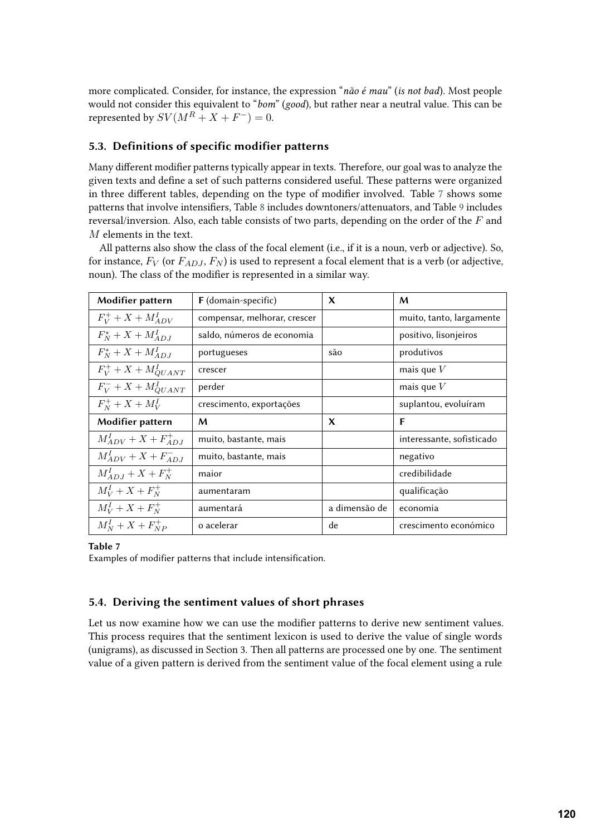more complicated. Consider, for instance, the expression "*não é mau*" (*is not bad*). Most people would not consider this equivalent to "*bom*" (*good*), but rather near a neutral value. This can be represented by  $SV(M^R+X+F^-)=0$ .

# **5.3. Definitions of specific modifier patterns**

Many different modifier patterns typically appear in texts. Therefore, our goal was to analyze the given texts and define a set of such patterns considered useful. These patterns were organized in three different tables, depending on the type of modifier involved. Table [7](#page-10-0) shows some patterns that involve intensifiers, Table [8](#page-11-0) includes downtoners/attenuators, and Table [9](#page-11-1) includes reversal/inversion. Also, each table consists of two parts, depending on the order of the  $F$  and  $M$  elements in the text.

All patterns also show the class of the focal element (i.e., if it is a noun, verb or adjective). So, for instance,  $F_V$  (or  $F_{AD,I}, F_N$ ) is used to represent a focal element that is a verb (or adjective, noun). The class of the modifier is represented in a similar way.

| Modifier pattern             | <b>F</b> (domain-specific)   | X             | M                         |
|------------------------------|------------------------------|---------------|---------------------------|
| $F_V^+ + X + M_{ADV}^I$      | compensar, melhorar, crescer |               | muito, tanto, largamente  |
| $F_N^* + X + M_{ADI}^I$      | saldo, números de economia   |               | positivo, lisonjeiros     |
| $F_N^* + X + M_{ADI}^I$      | portugueses                  | são           | produtivos                |
| $F_V^+ + X + M_{QUANT}^I$    | crescer                      |               | mais que $V$              |
| $F_V^-+X+M^I_{QUANT}$        | perder                       |               | mais que $V$              |
| $F_{N}^{+} + X + M_{V}^{I}$  | crescimento, exportações     |               | suplantou, evoluíram      |
| Modifier pattern             | M                            | $\mathbf x$   | F                         |
| $M_{ADV}^I + X + F_{ADI}^+$  | muito, bastante, mais        |               | interessante, sofisticado |
| $M_{ADV}^I + X + F_{ADJ}^-$  | muito, bastante, mais        |               | negativo                  |
| $M_{ADI}^I + X + F_N^+$      | maior                        |               | credibilidade             |
| $M_V^I + X + F_N^+$          | aumentaram                   |               | qualificação              |
| $M_V^I + X + F_N^+$          | aumentará                    | a dimensão de | economia                  |
| $M_{N}^{I} + X + F_{NP}^{+}$ | o acelerar                   | de            | crescimento económico     |

#### <span id="page-10-0"></span>**Table 7**

Examples of modifier patterns that include intensification.

## <span id="page-10-1"></span>**5.4. Deriving the sentiment values of short phrases**

Let us now examine how we can use the modifier patterns to derive new sentiment values. This process requires that the sentiment lexicon is used to derive the value of single words (unigrams), as discussed in Section 3. Then all patterns are processed one by one. The sentiment value of a given pattern is derived from the sentiment value of the focal element using a rule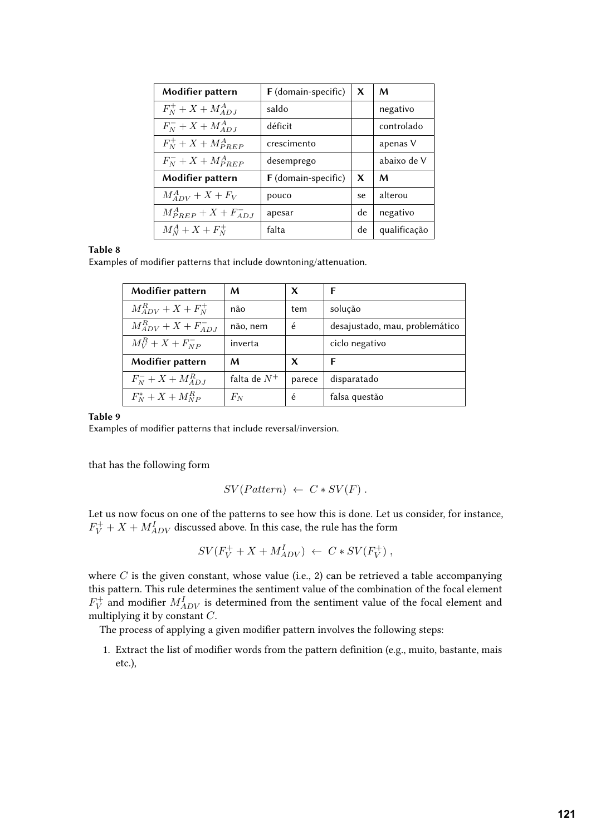<span id="page-11-0"></span>

| Modifier pattern         | F (domain-specific) | X  | M            |
|--------------------------|---------------------|----|--------------|
| $F_N^+ + X + M_{AD,I}^A$ | saldo               |    | negativo     |
| $F_N^- + X + M_{AD,I}^A$ | déficit             |    | controlado   |
| $F_N^+ + X + M_{PREP}^A$ | crescimento         |    | apenas V     |
| $F_N^-+X+M_{PRFP}^A$     | desemprego          |    | abaixo de V  |
| Modifier pattern         | F (domain-specific) | X  | M            |
| $M_{ADV}^A + X + F_V$    | pouco               | se | alterou      |
| $M_{PREF}^A+X+F_{ADJ}^-$ | apesar              | de | negativo     |
| $M_N^A + X + F_N^+$      | falta               | de | qualificação |

## **Table 8**

Examples of modifier patterns that include downtoning/attenuation.

| Modifier pattern            | M              | x      | F                              |
|-----------------------------|----------------|--------|--------------------------------|
| $M_{ADV}^R + X + F_N^+$     | não            | tem    | solução                        |
| $M_{ADV}^R + X + F_{ADI}^-$ | não, nem       | é      | desajustado, mau, problemático |
| $M_V^R + X + F_{NP}^-$      | inverta        |        | ciclo negativo                 |
| Modifier pattern            | M              | X      | F                              |
| $F_N^- + X + M_{AD,I}^R$    | falta de $N^+$ | parece | disparatado                    |
| $F_N^* + X + M_{NP}^R$      | $F_N$          | é      | falsa questão                  |

#### **Table 9**

Examples of modifier patterns that include reversal/inversion.

that has the following form

<span id="page-11-1"></span>
$$
SV(Patten) \leftarrow C * SV(F) .
$$

Let us now focus on one of the patterns to see how this is done. Let us consider, for instance,  $F_V^+ + X + M_{ADV}^I$  discussed above. In this case, the rule has the form

$$
SV(F_V^+ + X + M_{ADV}^I) \leftarrow C * SV(F_V^+)
$$

where  $C$  is the given constant, whose value (i.e., 2) can be retrieved a table accompanying this pattern. This rule determines the sentiment value of the combination of the focal element  $F_V^+$  $\stackrel{\text{a}}{V}$  and modifier  $M_{ADV}^I$  is determined from the sentiment value of the focal element and multiplying it by constant  $C$ .

The process of applying a given modifier pattern involves the following steps:

1. Extract the list of modifier words from the pattern definition (e.g., muito, bastante, mais etc.),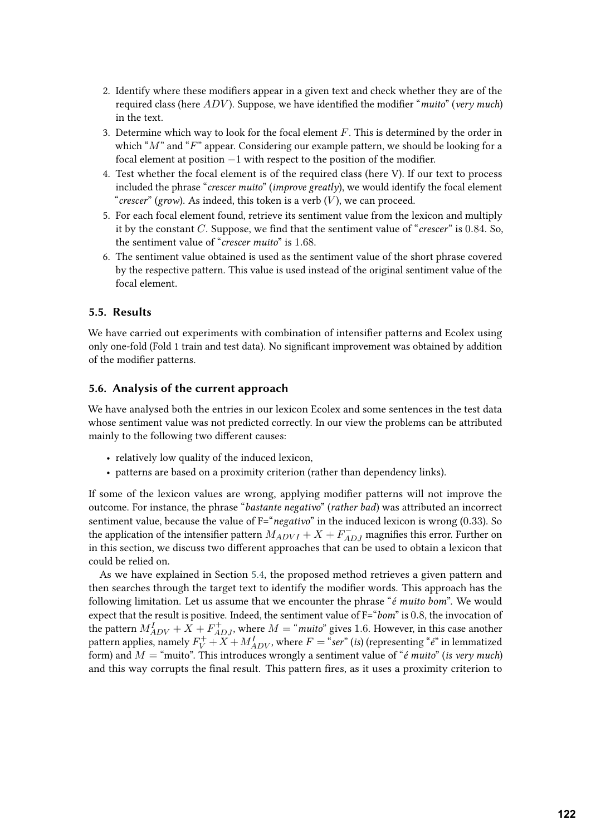- 2. Identify where these modifiers appear in a given text and check whether they are of the required class (here  $ADV$ ). Suppose, we have identified the modifier "*muito*" (*very much*) in the text.
- 3. Determine which way to look for the focal element  $F$ . This is determined by the order in which " $M$ " and " $F$ " appear. Considering our example pattern, we should be looking for a focal element at position −1 with respect to the position of the modifier.
- 4. Test whether the focal element is of the required class (here V). If our text to process included the phrase "*crescer muito*" (*improve greatly*), we would identify the focal element "*crescer*" (*grow*). As indeed, this token is a verb  $(V)$ , we can proceed.
- 5. For each focal element found, retrieve its sentiment value from the lexicon and multiply it by the constant  $C$ . Suppose, we find that the sentiment value of "*crescer*" is 0.84. So, the sentiment value of "*crescer muito*" is 1.68.
- 6. The sentiment value obtained is used as the sentiment value of the short phrase covered by the respective pattern. This value is used instead of the original sentiment value of the focal element.

## <span id="page-12-0"></span>**5.5. Results**

We have carried out experiments with combination of intensifier patterns and Ecolex using only one-fold (Fold 1 train and test data). No significant improvement was obtained by addition of the modifier patterns.

#### **5.6. Analysis of the current approach**

We have analysed both the entries in our lexicon Ecolex and some sentences in the test data whose sentiment value was not predicted correctly. In our view the problems can be attributed mainly to the following two different causes:

- relatively low quality of the induced lexicon,
- patterns are based on a proximity criterion (rather than dependency links).

If some of the lexicon values are wrong, applying modifier patterns will not improve the outcome. For instance, the phrase "*bastante negativo*" (*rather bad*) was attributed an incorrect sentiment value, because the value of F="*negativo*" in the induced lexicon is wrong (0.33). So the application of the intensifier pattern  $M_{ADVI} + X + F^{-}_{ADJ}$  magnifies this error. Further on in this section, we discuss two different approaches that can be used to obtain a lexicon that could be relied on.

As we have explained in Section [5.4,](#page-10-1) the proposed method retrieves a given pattern and then searches through the target text to identify the modifier words. This approach has the following limitation. Let us assume that we encounter the phrase "*é muito bom*". We would expect that the result is positive. Indeed, the sentiment value of F="*bom*" is 0.8, the invocation of the pattern  $M_{ADV}^I + X + F_{ADJ}^+$ , where  $M = "muito"$  gives 1.6. However, in this case another pattern applies, namely  $F_V^+ + X + M_{ADV}^I$ , where  $F = "ser"$  (*is*) (representing " $e$ " in lemmatized form) and  $M =$  "muito". This introduces wrongly a sentiment value of " $\acute{e}$  muito" (*is very much*) and this way corrupts the final result. This pattern fires, as it uses a proximity criterion to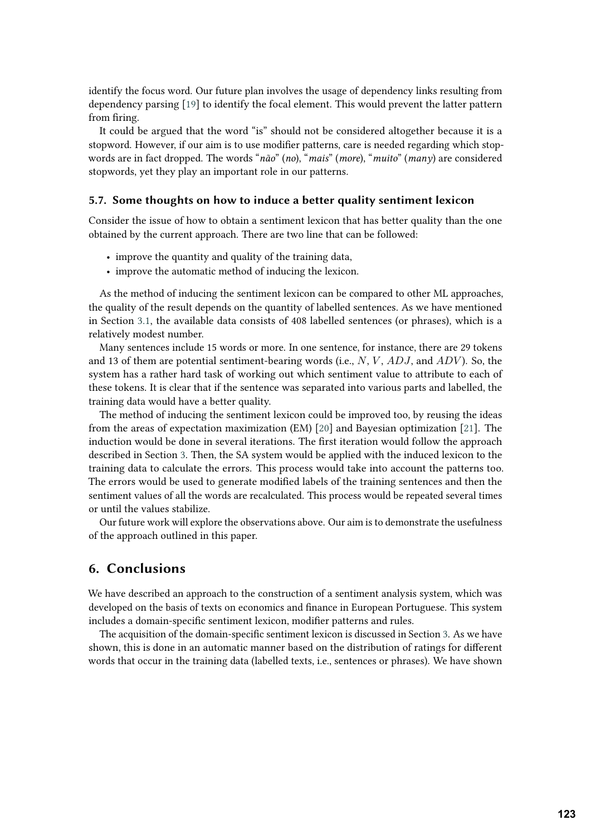identify the focus word. Our future plan involves the usage of dependency links resulting from dependency parsing [\[19\]](#page-15-12) to identify the focal element. This would prevent the latter pattern from firing.

It could be argued that the word "is" should not be considered altogether because it is a stopword. However, if our aim is to use modifier patterns, care is needed regarding which stopwords are in fact dropped. The words "*não*" (*no*), "*mais*" (*more*), "*muito*" (*many*) are considered stopwords, yet they play an important role in our patterns.

### **5.7. Some thoughts on how to induce a better quality sentiment lexicon**

Consider the issue of how to obtain a sentiment lexicon that has better quality than the one obtained by the current approach. There are two line that can be followed:

- improve the quantity and quality of the training data,
- improve the automatic method of inducing the lexicon.

As the method of inducing the sentiment lexicon can be compared to other ML approaches, the quality of the result depends on the quantity of labelled sentences. As we have mentioned in Section [3.1,](#page-3-2) the available data consists of 408 labelled sentences (or phrases), which is a relatively modest number.

Many sentences include 15 words or more. In one sentence, for instance, there are 29 tokens and 13 of them are potential sentiment-bearing words (i.e.,  $N$ ,  $V$ ,  $ADJ$ , and  $ADV$ ). So, the system has a rather hard task of working out which sentiment value to attribute to each of these tokens. It is clear that if the sentence was separated into various parts and labelled, the training data would have a better quality.

The method of inducing the sentiment lexicon could be improved too, by reusing the ideas from the areas of expectation maximization (EM) [\[20\]](#page-15-13) and Bayesian optimization [\[21\]](#page-15-14). The induction would be done in several iterations. The first iteration would follow the approach described in Section [3.](#page-3-0) Then, the SA system would be applied with the induced lexicon to the training data to calculate the errors. This process would take into account the patterns too. The errors would be used to generate modified labels of the training sentences and then the sentiment values of all the words are recalculated. This process would be repeated several times or until the values stabilize.

Our future work will explore the observations above. Our aim is to demonstrate the usefulness of the approach outlined in this paper.

# <span id="page-13-0"></span>**6. Conclusions**

We have described an approach to the construction of a sentiment analysis system, which was developed on the basis of texts on economics and finance in European Portuguese. This system includes a domain-specific sentiment lexicon, modifier patterns and rules.

The acquisition of the domain-specific sentiment lexicon is discussed in Section [3.](#page-3-0) As we have shown, this is done in an automatic manner based on the distribution of ratings for different words that occur in the training data (labelled texts, i.e., sentences or phrases). We have shown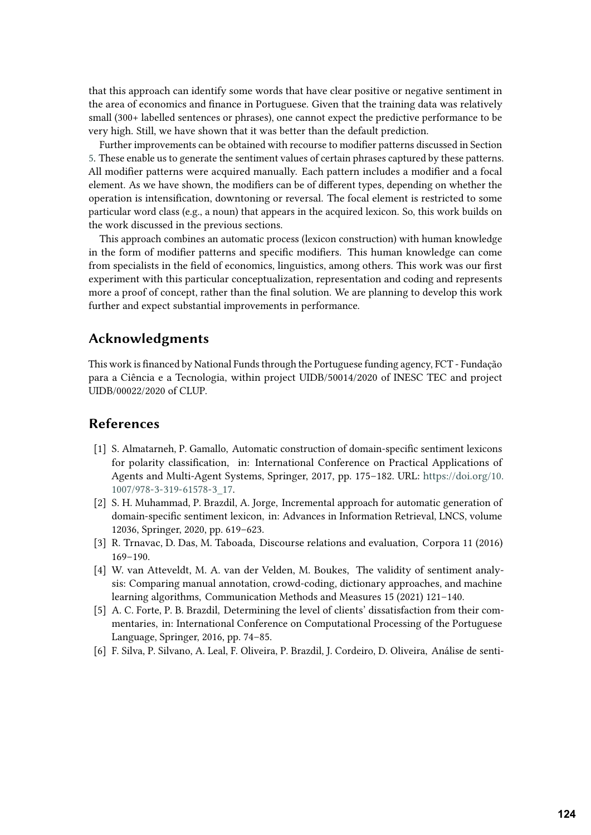that this approach can identify some words that have clear positive or negative sentiment in the area of economics and finance in Portuguese. Given that the training data was relatively small (300+ labelled sentences or phrases), one cannot expect the predictive performance to be very high. Still, we have shown that it was better than the default prediction.

Further improvements can be obtained with recourse to modifier patterns discussed in Section [5.](#page-8-0) These enable us to generate the sentiment values of certain phrases captured by these patterns. All modifier patterns were acquired manually. Each pattern includes a modifier and a focal element. As we have shown, the modifiers can be of different types, depending on whether the operation is intensification, downtoning or reversal. The focal element is restricted to some particular word class (e.g., a noun) that appears in the acquired lexicon. So, this work builds on the work discussed in the previous sections.

This approach combines an automatic process (lexicon construction) with human knowledge in the form of modifier patterns and specific modifiers. This human knowledge can come from specialists in the field of economics, linguistics, among others. This work was our first experiment with this particular conceptualization, representation and coding and represents more a proof of concept, rather than the final solution. We are planning to develop this work further and expect substantial improvements in performance.

# **Acknowledgments**

This work is financed by National Funds through the Portuguese funding agency, FCT - Fundação para a Ciência e a Tecnologia, within project UIDB/50014/2020 of INESC TEC and project UIDB/00022/2020 of CLUP.

# **References**

- <span id="page-14-0"></span>[1] S. Almatarneh, P. Gamallo, Automatic construction of domain-specific sentiment lexicons for polarity classification, in: International Conference on Practical Applications of Agents and Multi-Agent Systems, Springer, 2017, pp. 175–182. URL: [https://doi.org/10.](https://doi.org/10.1007/978-3-319-61578-3_17) [1007/978-3-319-61578-3\\_17.](https://doi.org/10.1007/978-3-319-61578-3_17)
- <span id="page-14-1"></span>[2] S. H. Muhammad, P. Brazdil, A. Jorge, Incremental approach for automatic generation of domain-specific sentiment lexicon, in: Advances in Information Retrieval, LNCS, volume 12036, Springer, 2020, pp. 619–623.
- <span id="page-14-2"></span>[3] R. Trnavac, D. Das, M. Taboada, Discourse relations and evaluation, Corpora 11 (2016) 169–190.
- <span id="page-14-3"></span>[4] W. van Atteveldt, M. A. van der Velden, M. Boukes, The validity of sentiment analysis: Comparing manual annotation, crowd-coding, dictionary approaches, and machine learning algorithms, Communication Methods and Measures 15 (2021) 121–140.
- <span id="page-14-4"></span>[5] A. C. Forte, P. B. Brazdil, Determining the level of clients' dissatisfaction from their commentaries, in: International Conference on Computational Processing of the Portuguese Language, Springer, 2016, pp. 74–85.
- <span id="page-14-5"></span>[6] F. Silva, P. Silvano, A. Leal, F. Oliveira, P. Brazdil, J. Cordeiro, D. Oliveira, Análise de senti-